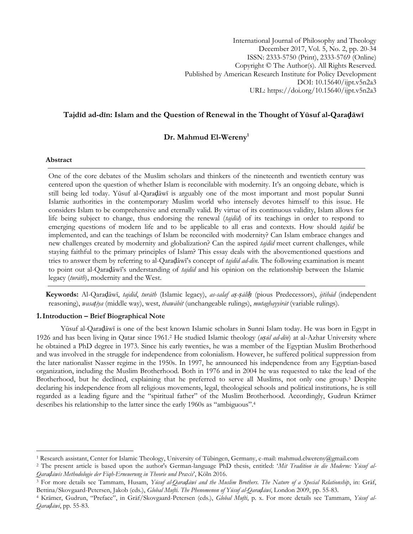International Journal of Philosophy and Theology December 2017, Vol. 5, No. 2, pp. 20-34 ISSN: 2333-5750 (Print), 2333-5769 (Online) Copyright © The Author(s). All Rights Reserved. Published by American Research Institute for Policy Development DOI: 10.15640/ijpt.v5n2a3 URL: https://doi.org/10.15640/ijpt.v5n2a3

# **Tajdīd ad-dīn: Islam and the Question of Renewal in the Thought of Yūsuf al-Qaraḍāwī**

# **Dr. Mahmud El-Wereny<sup>1</sup>**

## **Abstract**

 $\overline{a}$ 

One of the core debates of the Muslim scholars and thinkers of the nineteenth and twentieth century was centered upon the question of whether Islam is reconcilable with modernity. It's an ongoing debate, which is still being led today. Yūsuf al-Qaraḍāwī is arguably one of the most important and most popular Sunni Islamic authorities in the contemporary Muslim world who intensely devotes himself to this issue. He considers Islam to be comprehensive and eternally valid. By virtue of its continuous validity, Islam allows for life being subject to change, thus endorsing the renewal (*tajdīd*) of its teachings in order to respond to emerging questions of modern life and to be applicable to all eras and contexts. How should *tajdīd* be implemented, and can the teachings of Islam be reconciled with modernity? Can Islam embrace changes and new challenges created by modernity and globalization? Can the aspired *tajdīd* meet current challenges, while staying faithful to the primary principles of Islam? This essay deals with the abovementioned questions and tries to answer them by referring to al-Qaraḍāwī"s concept of *tajdīd ad-dīn*. The following examination is meant to point out al-Qaraḍāwī"s understanding of *tajdīd* and his opinion on the relationship between the Islamic legacy (*turāth*), modernity and the West.

 **Keywords:** Al-Qaraḍāwī, *tajdīd*, *turāth* (Islamic legacy), *as-salaf aṣ-ṣāliḥ* (pious Predecessors), *ijtihād* (independent reasoning), *wasaṭīya* (middle way), west, *thawābit* (unchangeable rulings), *mutaghayyirāt* (variable rulings).

## **1.Introduction – Brief Biographical Note**

Yūsuf al-Qaraḍāwī is one of the best known Islamic scholars in Sunni Islam today. He was born in Egypt in 1926 and has been living in Qatar since 1961.<sup>2</sup> He studied Islamic theology (*uṣūl ad-dīn*) at al-Azhar University where he obtained a PhD degree in 1973. Since his early twenties, he was a member of the Egyptian Muslim Brotherhood and was involved in the struggle for independence from colonialism. However, he suffered political suppression from the later nationalist Nasser regime in the 1950s. In 1997, he announced his independence from any Egyptian-based organization, including the Muslim Brotherhood. Both in 1976 and in 2004 he was requested to take the lead of the Brotherhood, but he declined, explaining that he preferred to serve all Muslims, not only one group.<sup>3</sup> Despite declaring his independence from all religious movements, legal, theological schools and political institutions, he is still regarded as a leading figure and the "spiritual father" of the Muslim Brotherhood. Accordingly, Gudrun Krämer describes his relationship to the latter since the early 1960s as "ambiguous".<sup>4</sup>

<sup>1</sup> Research assistant, Center for Islamic Theology, University of Tübingen, Germany, e-mail: mahmud.elwereny@gmail.com

<sup>2</sup> The present article is based upon the author's German-language PhD thesis, entitled: "*Mit Tradition in die Moderne: Yūsuf al-Qaraḍāwīs Methodologie der Fiqh-Erneuerung in Theorie und Praxis*", Köln 2016.

<sup>3</sup> For more details see Tammam, Husam, *Yūsuf al-Qaraḍāwī and the Muslim Brothers. The Nature of a Special Relationship*, in: Gräf, Bettina/Skovgaard-Petersen, Jakob (eds.), *Global Mufti. The Phenomenon of Yūsuf al-Qaraḍāwī*, London 2009, pp. 55-83.

<sup>4</sup> Krämer, Gudrun, "Preface", in Gräf/Skovgaard-Petersen (eds.), *Global Mufti*, p. x. For more details see Tammam, *Yūsuf al-Qaraḍāwī*, pp. 55-83.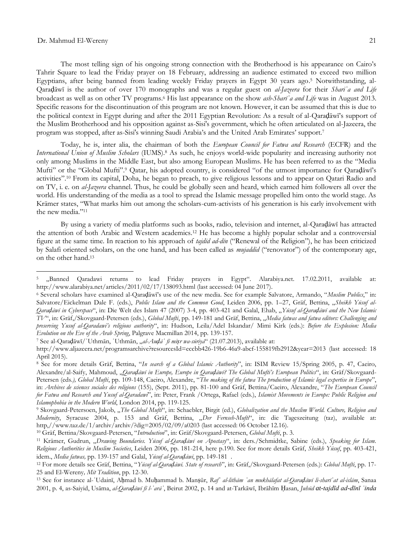$\overline{a}$ 

The most telling sign of his ongoing strong connection with the Brotherhood is his appearance on Cairo"s Tahrir Square to lead the Friday prayer on 18 February, addressing an audience estimated to exceed two million Egyptians, after being banned from leading weekly Friday prayers in Egypt 30 years ago. <sup>5</sup> Notwithstanding, al-Qaraḍāwī is the author of over 170 monographs and was a regular guest on *al-Jazeera* for their *Shariʿa and Life*  broadcast as well as on other TV programs.<sup>6</sup> His last appearance on the show *ash-Sharīʿa and Life* was in August 2013. Specific reasons for the discontinuation of this program are not known. However, it can be assumed that this is due to the political context in Egypt during and after the 2011 Egyptian Revolution: As a result of al-Qaraḍāwī"s support of the Muslim Brotherhood and his opposition against as-Sisi's government, which he often articulated on al-Jazeera, the program was stopped, after as-Sisi's winning Saudi Arabia"s and the United Arab Emirates" support.<sup>7</sup>

Today, he is, inter alia, the chairman of both the *European Council for Fatwa and Research* (ECFR) and the *International Union of Muslim Scholars* (IUMS).<sup>8</sup> As such, he enjoys world-wide popularity and increasing authority not only among Muslims in the Middle East, but also among European Muslims. He has been referred to as the "Media Mufti" or the "Global Mufti".<sup>9</sup> Qatar, his adopted country, is considered "of the utmost importance for Qaraḍāwī's activities".<sup>10</sup> From its capital, Doha, he began to preach, to give religious lessons and to appear on Qatari Radio and on TV, i. e. on *al-Jazeera* channel. Thus, he could be globally seen and heard, which earned him followers all over the world. His understanding of the media as a tool to spread the Islamic message propelled him onto the world stage. As Krämer states, "What marks him out among the scholars-cum-activists of his generation is his early involvement with the new media."<sup>11</sup>

By using a variety of media platforms such as books, radio, television and internet, al-Qaraḍāwī has attracted the attention of both Arabic and Western academics.<sup>12</sup> He has become a highly popular scholar and a controversial figure at the same time. In reaction to his approach of *tajdīd ad-dīn* ("Renewal of the Religion"), he has been criticized by Salafi oriented scholars, on the one hand, and has been called as *mujaddid* ("renovator") of the contemporary age, on the other hand.<sup>13</sup>

<sup>5</sup> "Banned Qaradawi returns to lead Friday prayers in Egypt". Alarabiya.net. 17.02.2011, available at: http://www.alarabiya.net/articles/2011/02/17/138093.html (last accessed: 04 June 2017).

<sup>6</sup> Several scholars have examined al-Qaraḍāwī"s use of the new media. See for example Salvatore, Armando, "*Muslim Publics*," in: Salvatore/Eickelman Dale F. (eds.), *Public Islam and the Common Good*, Leiden 2006, pp. 1-27, Gräf, Bettina, "Sheikh Yūsuf al-*Qaraḍāwī in Cyberspace*", in: Die Welt des Islam 47 (2007) 3-4, pp. 403-421 and Galal, Ehab, "*Yūsuf al-Qaraḍāwī and the New Islamic TV*", in: Gräf,/Skovgaard-Petersen (eds.), *Global Mufti*, pp. 149-181 and Gräf, Bettina, "*Media fatwas and fatwa editors: Challenging and preserving Yusuf al-Qaradawi"s religious authority*", in: Hudson, Leila/Adel Iskandar/ Mimi Kirk (eds.): *Before the Explosion: Media Evolution on the Eve of the Arab Spring*, Palgrave Macmillan 2014, pp. 139-157.

<sup>7</sup> See al-Qaraḍāwī/ʿUthmān, ʿUthmān, "*al-Auḍāʿ fī miṣr wa-sūriyā*" (21.07.2013), available at:

http://www.aljazeera.net/programsarchive?resourcesId=eccbb426-19b6-46a9-abcf-155819fb2912&year=2013 (last accessed: 18 April 2015).

<sup>8</sup> See for more details Gräf, Bettina, "*In search of a Global Islamic Authority*", in: ISIM Review 15/Spring 2005, p. 47, Caeiro, Alexandre/al-Saify, Mahmoud, "*Qaraḍāwī in Europe, Europe in Qaraḍāwī? The Global Mufti"s European Politics*", in: Gräf/Skovgaard-Petersen (eds*.), Global Mufti*, pp. 109-148, Caeiro, Alexandre, "*The making of the fatwa The production of Islamic legal expertise in Europe*", in: *Archives de sciences sociales des religions* (155), (Sept. 2011), pp. 81-100 and Gräf, Bettina/Caeiro, Alexandre, "*The European Council for Fatwa and Research and Yusuf al-Qaradawi*", in: Peter, Frank /Ortega, Rafael (eds.), *Islamist Movements in Europe: Public Religion and Islamophobia in the Modern World*, London 2014, pp. 119-125.

<sup>&</sup>lt;sup>9</sup> Skovgaard-Petersoen, Jakob, "The Global Mufti<sup>x</sup>, in: Schaebler, Birgit (ed.), Globalization and the Muslim World. Culture, Religion and *Modernity*, Syracuse 2004, p. 153 and Gräf, Bettina, "*Der Fernseh-Mufti*", in: die Tageszeitung (taz), available at: http,//www.taz.de/1/archiv/archiv/?dig=2005/02/09/a0203 (last accessed: 06 October 12.16).

<sup>10</sup> Gräf, Bettina/Skovgaard-Petersen, "*Introduction*", in: Gräf/Skovgaard-Petersen, *Global Mufti*, p. 3.

<sup>11</sup> Krämer, Gudrun, "*Drawing Boundaries. Yūsuf al-Qaraḍāwī on Apostasy*", in: ders./Schmidtke, Sabine (eds.), *Speaking for Islam. Religious Authorities in Muslim Societies*, Leiden 2006, pp. 181-214, here p.190. See for more details Gräf, *Sheikh Yūsuf*, pp. 403-421, idem., *Media fatwas,* pp. 139-157 and Galal, *Yūsuf al-Qaraḍāwī*, pp. 149-181 .

<sup>12</sup> For more details see Gräf, Bettina, "*Yūsuf al-Qaraḍāwī. State of research*", in: Gräf,/Skovgaard-Petersen (eds.): *Global Mufti*, pp. 17- 25 and El-Wereny*, Mit Tradition*, pp. 12-30.

<sup>&</sup>lt;sup>13</sup> See for instance al-'Udainī, Ahmad b. Muhammad b. Manṣūr, Raf' al-lithām 'an mukhālafat al-Qaradāwī li-sharī at al-islām, Sanaa 2001, p. 4, as-Saiyid, Usāma, *al-Qaraḍāwī fī l-ʿarāʾ*, Beirut 2002, p. 14 and at-Tarkāwī, Ibrāhīm Ḥasan, *Juhūd at-tajdīd ad-dīnī ʿinda*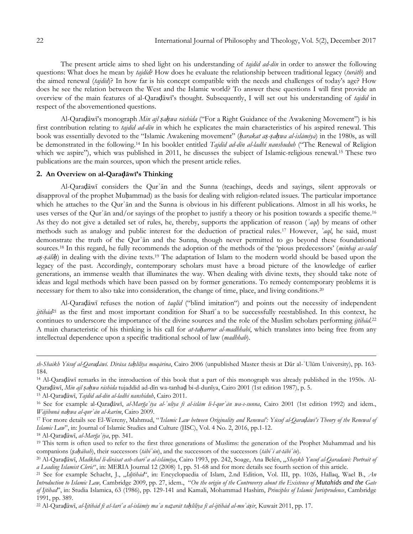The present article aims to shed light on his understanding of *tajdīd ad-dīn* in order to answer the following questions: What does he mean by *tajdīd*? How does he evaluate the relationship between traditional legacy (*turāth*) and the aimed renewal (*tajdīd*)? In how far is his concept compatible with the needs and challenges of today"s age? How does he see the relation between the West and the Islamic world? To answer these questions I will first provide an overview of the main features of al-Qaraḍāwī"s thought. Subsequently, I will set out his understanding of *tajdīd* in respect of the abovementioned questions.

Al-Qaraḍāwī"s monograph *Min ajl ṣaḥwa rāshida* ("For a Right Guidance of the Awakening Movement") is his first contribution relating to *tajdīd ad-dīn* in which he explicates the main characteristics of his aspired renewal. This book was essentially devoted to the "Islamic Awakening movement" (*ḥarakat aṣ-ṣaḥwa al-islāmīya*) in the 1980s, as will be demonstrated in the following.<sup>14</sup> In his booklet entitled *Tajdīd ad-dīn al-ladhī nanshuduh* ("The Renewal of Religion which we aspire"), which was published in 2011, he discusses the subject of Islamic-religious renewal.<sup>15</sup> These two publications are the main sources, upon which the present article relies.

## **2. An Overview on al-Qaraḍāwī's Thinking**

Al-Qaraḍāwī considers the Qurʾān and the Sunna (teachings, deeds and sayings, silent approvals or disapproval of the prophet Muḥammad) as the basis for dealing with religion-related issues. The particular importance which he attaches to the Qurʾān and the Sunna is obvious in his different publications. Almost in all his works, he uses verses of the Qur'ān and/or sayings of the prophet to justify a theory or his position towards a specific theme.<sup>16</sup> As they do not give a detailed set of rules, he, thereby, supports the application of reason (*ʿaql*) by means of other methods such as analogy and public interest for the deduction of practical rules.<sup>17</sup> However, *ʿaql*, he said, must demonstrate the truth of the Qurʾān and the Sunna, though never permitted to go beyond these foundational sources.<sup>18</sup> In this regard, he fully recommends the adoption of the methods of the "pious predecessors" (*minhaj as-salaf aṣ-ṣāliḥ*) in dealing with the divine texts.<sup>19</sup> The adaptation of Islam to the modern world should be based upon the legacy of the past. Accordingly, contemporary scholars must have a broad picture of the knowledge of earlier generations, an immense wealth that illuminates the way. When dealing with divine texts, they should take note of ideas and legal methods which have been passed on by former generations. To remedy contemporary problems it is necessary for them to also take into consideration, the change of time, place, and living conditions.<sup>20</sup>

Al-Qaraḍāwī refuses the notion of *taqlīd* ("blind imitation") and points out the necessity of independent *ijtihād*<sup>21</sup> as the first and most important condition for Sharī<sup>'</sup>a to be successfully reestablished. In this context, he continues to underscore the importance of the divine sources and the role of the Muslim scholars performing *ijtihād.*<sup>22</sup> A main characteristic of his thinking is his call for *at-taḥarrur al-madhhabī*, which translates into being free from any intellectual dependence upon a specific traditional school of law (*madhhab*).

<sup>15</sup> Al-Qaraḍāwī, *Tajdīd ad-dīn al-ladhī nanshiduh*, Cairo 2011.

<sup>17</sup> For more details see El-Wereny, Mahmud, "*"Islamic Law between Originality and Renewal": Yūsuf al-Qaraḍāwī"s Theory of the Renewal of Islamic Law*", in: Journal of Islamic Studies and Culture (JISC), Vol. 4 No. 2, 2016, pp.1-12.

<sup>18</sup> Al-Qaraḍāwī, *al-Marğaʿīya*, pp. 341.

 $\overline{a}$ 

<sup>22</sup> Al-Qaradāwī, *al-Ijtihād fī aš-šarī* a al-islāmīy ma a nazarāt tahlīlīya fī al-ijtihād al-mu āsir, Kuwait 2011, pp. 17.

*sh-Shaikh Yūsuf al-Qaraḍāwī. Dirāsa taḥlīlīya muqārina*, Cairo 2006 (unpublished Master thesis at Dār al-ʿUlūm University), pp. 163- 184.

<sup>14</sup> Al-Qaraḍāwī remarks in the introduction of this book that a part of this monograph was already published in the 1950s. Al-Qaraḍāwī, *Min ajl ṣaḥwa rāshida* tujaddid ad-dīn wa-tanhaḍ bi-d-dunīya, Cairo 2001 (1st edition 1987), p. 5.

<sup>16</sup> See for example al-Qaraḍāwī, *al-Marğaʿīya al-ʿulīya fī al-islām li-l-qurʾān wa-s-sunna*, Cairo 2001 (1st edition 1992) and idem., *Wājibunā naḥwa al-qurʾān al-karīm*, Cairo 2009.

<sup>&</sup>lt;sup>19</sup> This term is often used to refer to the first three generations of Muslims: the generation of the Prophet Muhammad and his companions (sahābab), their successors (tābi an), and the successors of the successors (tābi at-tābi an).

<sup>20</sup> Al-Qaraḍāwī, *Madkhal li-dirāsat ash-sharīʿa al-islāmīya*, Cairo 1993, pp. 242, Soage, Ana Belén, "*Shaykh Yusuf al-Qaradawi: Portrait of a Leading Islamist Cleric*", in: MERIA Journal 12 (2008) 1, pp. 51-68 and for more details see fourth section of this article.

<sup>21</sup> See for example Schacht, J., "*Idjtihād*", in: Encyclopaedia of Islam, 2.nd Edition, Vol. III, pp. 1026, Hallaq, Wael B., *An Introduction to Islamic Law,* Cambridge 2009, pp. 27, idem., "*On the origin of the Controversy about the Existence of Mutahids and the Gate of Ijtihad*", in: Studia Islamica, 63 (1986), pp. 129-141 and Kamali, Mohammad Hashim, *Principles of Islamic Jurisprudence*, Cambridge 1991, pp. 389.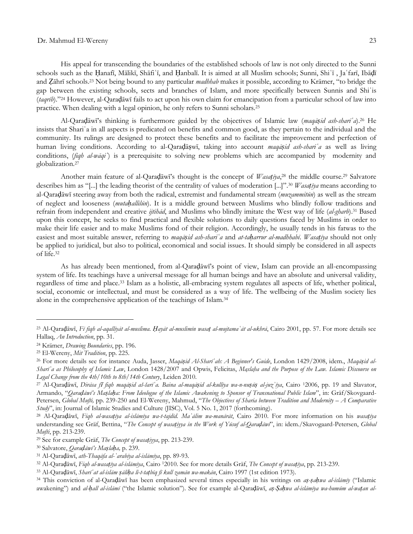His appeal for transcending the boundaries of the established schools of law is not only directed to the Sunni schools such as the Ḥanafī, Mālikī, Shāfiʿī, and Ḥanbalī. It is aimed at all Muslim schools; Sunni, Shiʿī , Jaʿfarī, Ibāḍī and Ẓāhrī schools.<sup>23</sup> Not being bound to any particular *madhhab* makes it possible, according to Krämer, "to bridge the gap between the existing schools, sects and branches of Islam, and more specifically between Sunnis and Shiʿis (*taqrīb*)."<sup>24</sup> However, al-Qaraḍāwī fails to act upon his own claim for emancipation from a particular school of law into practice. When dealing with a legal opinion, he only refers to Sunni scholars.<sup>25</sup>

Al-Qaraḍāwī"s thinking is furthermore guided by the objectives of Islamic law (*maqāṣid ash-sharīʿa*).<sup>26</sup> He insists that Shari'a in all aspects is predicated on benefits and common good, as they pertain to the individual and the community. Its rulings are designed to protect these benefits and to facilitate the improvement and perfection of human living conditions. According to al-Qaraḍāṣwī, taking into account *maqāṣid ash-shariʿa* as well as living conditions, (*fiqh al-wāqi*) is a prerequisite to solving new problems which are accompanied by modernity and globalization.<sup>27</sup>

Another main feature of al-Qaraḍāwī"s thought is the concept of *Wasaṭīya*, <sup>28</sup> the middle course.<sup>29</sup> Salvatore describes him as "[...] the leading theorist of the centrality of values of moderation [...]".<sup>30</sup> *Wasaṭīya* means according to al-Qaraḍāwī steering away from both the radical, extremist and fundamental stream (*muzammitūn*) as well as the stream of neglect and looseness (*mutaḥallilūn*). It is a middle ground between Muslims who blindly follow traditions and refrain from independent and creative *ijtihād*, and Muslims who blindly imitate the West way of life (*al-gharb*).<sup>31</sup> Based upon this concept, he seeks to find practical and flexible solutions to daily questions faced by Muslims in order to make their life easier and to make Muslims fond of their religion. Accordingly, he usually tends in his fatwas to the easiest and most suitable answer, referring to *maqāṣid ash-shariʿa* and *at-taḥarrur al-madhhabī*. *Wasaṭīya* should not only be applied to juridical, but also to political, economical and social issues. It should simply be considered in all aspects of life.<sup>32</sup>

As has already been mentioned, from al-Qaraḍāwī"s point of view, Islam can provide an all-encompassing system of life. Its teachings have a universal message for all human beings and have an absolute and universal validity, regardless of time and place.<sup>33</sup> Islam as a holistic, all-embracing system regulates all aspects of life, whether political, social, economic or intellectual, and must be considered as a way of life. The wellbeing of the Muslim society lies alone in the comprehensive application of the teachings of Islam.<sup>34</sup>

<sup>&</sup>lt;sup>23</sup> Al-Qaradāwī, Fi fiqh al-aqallīyāt al-muslima. Hayāt al-muslimīn wasat al-mujtama at al-ukhrā, Cairo 2001, pp. 57. For more details see Hallaq, *An Introduction*, pp. 31*.*

<sup>24</sup> Krämer, *Drawing Boundaries*, pp. 196.

<sup>25</sup> El-Wereny, *Mit Tradition*, pp. 225.

<sup>26</sup> For more details see for instance Auda, Jasser, *Maqāṣid Al-Sharīʿah: A Beginner's Guide*, London 1429/2008, idem., *Maqāṣid al-Sharīʿa as Philosophy of Islamic Law*, London 1428/2007 and Opwis, Felicitas, *Maṣlaḥa and the Purpose of the Law. Islamic Discourse on Legal Change from the 4th/10th to 8th/14th Century*, Leiden 2010.

<sup>&</sup>lt;sup>27</sup> Al-Qaradāwī, Dirāsa fī figh magāṣid aš-šarī a. Baina al-magāṣid al-kullīya wa-n-nuṣāṣ al-juz īya, Cairo <sup>1</sup>2006, pp. 19 and Slavator, Armando, "*Qaraḍāwī"s Maṣlaḥa: From Ideologue of the Islamic Awakening to Sponsor of Transnational Public Islam*", in: Gräf/Skovgaard-Petersen, *Global Mufti,* pp. 239-250 and El-Wereny, Mahmud, "The Objectives of Sharia between Tradition and Modernity - A Comparative *Study*", in: Journal of Islamic Studies and Culture (JISC), Vol. 5 No. 1, 2017 (forthcoming).

<sup>28</sup> Al-Qaraḍāwī, *Fiqh al-wasaṭīya al-islāmīya wa-t-tajdīd. Maʿālim wa-manārāt*, Cairo 2010. For more information on his *wasaṭīya* understanding see Gräf, Bettina, "*The Concept of wasaṭiyya in the Work of Yūsuf al-Qaraḍāwī*", in: idem./Skavogaard-Petersen, *Global Mufti*, pp. 213-239.

<sup>29</sup> See for example Gräf, *The Concept of wasaṭiyya*, pp. 213-239.

<sup>30</sup> Salvatore, *Qaraḍāwī"s Maṣlaḥa,* p. 239.

<sup>31</sup> Al-Qaraḍāwī, *ath-Thaqāfa al-ʿarabīya al-islāmīya*, pp. 89-93.

<sup>32</sup> Al-Qaraḍāwī, *Fiqh al-wasaṭīya al-islāmīya*, Cairo 12010. See for more details Gräf, *The Concept of wasaṭīya*, pp. 213-239.

<sup>33</sup> Al-Qaraḍāwī, *Sharīʿat al-islām ṣāliḥa li-t-taṭbīq fī kull zamān wa-makān*, Cairo 1997 (1st edition 1973).

<sup>34</sup> This conviction of al-Qaraḍāwī has been emphasized several times especially in his writings on *aṣ-ṣaḥwa al-islāmīy* ("Islamic awakening") and al-hall al-islāmī ("the Islamic solution"). See for example al-Qaradāwī, as-Sahwa al-islāmīya wa-humūm al-watan al-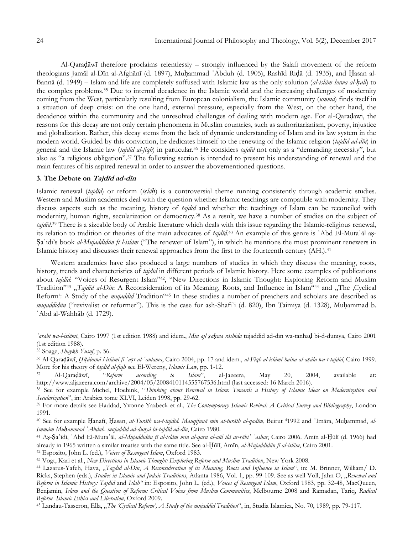Al-Qaraḍāwī therefore proclaims relentlessly – strongly influenced by the Salafi movement of the reform theologians Jamāl al-Dīn al-Afghānī (d. 1897), Muḥammad ʿAbduh (d. 1905), Rashīd Riḍā (d. 1935), and Ḥasan al-Bannā (d. 1949) – Islam and life are completely suffused with Islamic law as the only solution (*al-islām huwa al-ḥall*) to the complex problems.<sup>35</sup> Due to internal decadence in the Islamic world and the increasing challenges of modernity coming from the West, particularly resulting from European colonialism, the Islamic community (*umma*) finds itself in a situation of deep crisis: on the one hand, external pressure, especially from the West, on the other hand, the decadence within the community and the unresolved challenges of dealing with modern age. For al-Qaraḍāwī, the reasons for this decay are not only certain phenomena in Muslim countries, such as authoritarianism, poverty, injustice and globalization. Rather, this decay stems from the lack of dynamic understanding of Islam and its law system in the modern world. Guided by this conviction, he dedicates himself to the renewing of the Islamic religion (*tajdīd ad-dīn*) in general and the Islamic law (*tajdīd al-fiqh*) in particular.<sup>36</sup> He considers *tajdīd* not only as a "demanding necessity", but also as "a religious obligation".<sup>37</sup> The following section is intended to present his understanding of renewal and the main features of his aspired renewal in order to answer the abovementioned questions.

## **3. The Debate on <sup>T</sup>ajdīd ad-dīn**

Islamic renewal (*tajdīd*) or reform (*iṣlāḥ*) is a controversial theme running consistently through academic studies. Western and Muslim academics deal with the question whether Islamic teachings are compatible with modernity. They discuss aspects such as the meaning, history of *tajdīd* and whether the teachings of Islam can be reconciled with modernity, human rights, secularization or democracy.<sup>38</sup> As a result, we have a number of studies on the subject of *tajdīd*. <sup>39</sup> There is a sizeable body of Arabic literature which deals with this issue regarding the Islamic-religious renewal, its relation to tradition or theories of the main advocates of *tajdīd*. <sup>40</sup> An example of this genre is ʿAbd El-Mutaʿāl aṣ-Ṣaʿīdī"s book *al-Mujaddidūn fī l-islām* ("The renewer of Islam"), in which he mentions the most prominent renewers in Islamic history and discusses their renewal approaches from the first to the fourteenth century (AH.).<sup>41</sup>

Western academics have also produced a large numbers of studies in which they discuss the meaning, roots, history, trends and characteristics of *tajdīd* in different periods of Islamic history. Here some examples of publications about *tajdīd*: "Voices of Resurgent Islam"42, "New Directions in Islamic Thought: Exploring Reform and Muslim Tradition<sup>"43</sup> "*Tajdīd al-Dīn*: A Reconsideration of its Meaning, Roots, and Influence in Islam"<sup>44</sup> and "The 'Cyclical Reform": A Study of the *mujaddid* Tradition"<sup>45</sup> In these studies a number of preachers and scholars are described as *mujaddidūn* ("revivalist or reformer"). This is the case for ash-Shāfiʿī (d. 820), Ibn Taimīya (d. 1328), Muḥammad b. ʿAbd al-Wahhāb (d. 1729).

*ʿarabī wa-l-islāmī*, Cairo 1997 (1st edition 1988) and idem., *Min ajl ṣaḥwa rāshida* tujaddid ad-dīn wa-tanhaḍ bi-d-dunīya, Cairo 2001 (1st edition 1988).

<sup>35</sup> Soage, *Shaykh Yusuf*, p. 56.

<sup>&</sup>lt;sup>36</sup> Al-Qaradāwī, Hitābunā l-islāmī fī 'aṣr al-'aulama, Cairo 2004, pp. 17 and idem., al-Figh al-islāmī baina al-aṣāla wa-t-tajdīd, Cairo 1999. More for his theory of *tajdīd al-fiqh* see El-Wereny, *Islamic Law*, pp. 1-12.

<sup>37</sup> Al-Qaraḍāwī, "*Reform according to Islam*", al-Jazeera, May 20, 2004, available at: http://www.aljazeera.com/archive/2004/05/2008410114555767536.html (last accessed: 16 March 2016).

<sup>38</sup> See for example Michel, Hoebink, "*Thinking about Renewal in Islam: Towards a History of Islamic Ideas on Modernization and Secularization*", in: Arabica tome XLVI, Leiden 1998, pp. 29-62.

<sup>39</sup> For more details see Haddad, Yvonne Yazbeck et al., *The Contemporary Islamic Revival: A Critical Survey and Bibliography*, London 1991.

<sup>40</sup> See for example Ḥanafī, Ḥasan, *at-Turāth wa-t-tajdīd. Mauqifunā min at-turāth al-qadīm*, Beirut 41992 and ʿImāra, Muḥammad, *al-Immām Muḥammad ʿAbduh. mujaddid ad-dunyā bi-tajdīd ad-dīn*, Cairo 1980.

<sup>41</sup> Aṣ-Ṣaʿīdī, ʿAbd El-Mutaʿāl, *al-Mujaddidūn fī al-islām min al-qarn al-aūl ilā ar-rābiʿ ʿashar*, Cairo 2006. Amīn al-Ḫūlī (d. 1966) had already in 1965 written a similar treatise with the same title. See al-Ḫūlī, Amīn, *al-Mujaddidūn fī al-islām*, Cairo 2001.

<sup>42</sup> Esposito, John L. (ed.), *Voices of Resurgent Islam*, Oxford 1983.

<sup>43</sup> Vogt, Kari et al., *New Directions in Islamic Thought: Exploring Reform and Muslim Tradition*, New York 2008.

<sup>44</sup> Lazarus-Yafeh, Hava, "*Tagdid al-Din*, *A Reconsideration of its Meaning, Roots and Influence in Islam*", in: M. Brinner, William/ D. Ricks, Stephen (eds.), *Studies in Islamic and Judaic Traditions*, Atlanta 1986, Vol. 1, pp. 99-109. See as well Voll, Jahn O, "Renewal and *Reform in Islamic History: Tajdid* and *Islah"* in: Esposito, John L. (ed.), *Voices of Resurgent Islam*, Oxford 1983, pp. 32-48, MacQueen, Benjamin, *Islam and the Question of Reform: Critical Voices from Muslim Communities*, Melbourne 2008 and Ramadan, Tariq, *Radical Reform Islamic Ethics and Liberation*, Oxford 2009.

<sup>45</sup> Landau-Tasseron, Ella, "*The "Cyclical Reform", A Study of the mujaddid Tradition*", in, Studia Islamica, No. 70, 1989, pp. 79-117.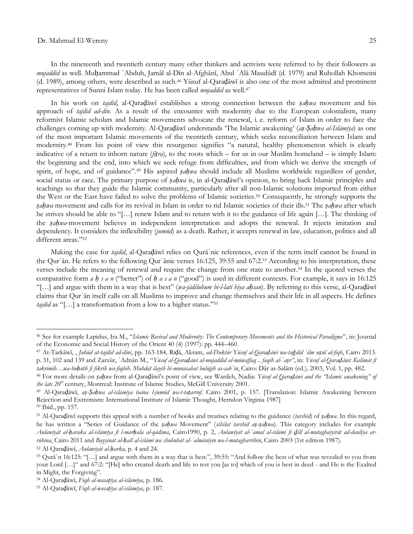In the nineteenth and twentieth century many other thinkers and activists were referred to by their followers as *mujaddid* as well. Muḥammad ʿAbduh, Jamāl al-Dīn al-Afghānī, Abul ʿAlā Maudūdī (d. 1979) and Ruhollah Khomeini (d. 1989), among others, were described as such.<sup>46</sup> Yūsuf al-Qaraḍāwī is also one of the most admired and prominent representatives of Sunni Islam today. He has been called *mujaddid* as well.<sup>47</sup>

In his work on *tajdīd*, al-Qaraḍāwī establishes a strong connection between the *ṣaḥwa* movement and his approach of *tajdīd ad-dīn*. As a result of the encounter with modernity due to the European colonialism, many reformist Islamic scholars and Islamic movements advocate the renewal, i. e. reform of Islam in order to face the challenges coming up with modernity. Al-Qaraḍāwī understands "The Islamic awakening" (*aṣ-Ṣaḥwa al-Islāmīya*) as one of the most important Islamic movements of the twentieth century, which seeks reconciliation between Islam and modernity.<sup>48</sup> From his point of view this resurgence signifies "a natural, healthy phenomenon which is clearly indicative of a return to inborn nature ( $\beta$ *tra*), to the roots which – for us in our Muslim homeland – is simply Islam: the beginning and the end, into which we seek refuge from difficulties, and from which we derive the strength of spirit, of hope, and of guidance".<sup>49</sup> His aspired *ṣaḥwa* should include all Muslims worldwide regardless of gender, social status or race. The primary purpose of *ṣaḥwa* is, in al-Qaraḍāwī"s opinion, to bring back Islamic principles and teachings so that they guide the Islamic community, particularly after all non-Islamic solutions imported from either the West or the East have failed to solve the problems of Islamic societies.<sup>50</sup> Consequently, he strongly supports the *ṣaḥwa* movement and calls for its revival in Islam in order to rid Islamic societies of their ills.<sup>51</sup> The *ṣaḥwa* after which he strives should be able to "[…] renew Islam and to return with it to the guidance of life again […]. The thinking of the *ṣaḥwa*-movement believes in independent interpretation and adopts the renewal. It rejects imitation and dependency. It considers the inflexibility (*jumūd*) as a death. Rather, it accepts renewal in law, education, politics and all different areas."<sup>52</sup>

Making the case for *tajdīd*, al-Qaraḍāwī relies on Qurāʾnic references, even if the term itself cannot be found in the Qurʾān. He refers to the following Qurʾānic verses 16:125, 39:55 and 67:2.<sup>53</sup> According to his interpretation, these verses include the meaning of renewal and require the change from one state to another.<sup>54</sup> In the quoted verses the comparative form *a ḥ s a n* ("better") of *ḥ a s a n* ("good") is used in different contexts. For example, it says in 16:125 "[…] and argue with them in a way that is best" (*wa-jādiluhum bi-l-latī hiya aḥsan*). By referring to this verse, al-Qaraḍāwī claims that Qurʾān itself calls on all Muslims to improve and change themselves and their life in all aspects. He defines *tajdīd* as "[…] a transformation from a low to a higher status."<sup>55</sup>

<sup>46</sup> See for example Lapidus, Ira M., "*Islamic Revival and Modernity: The Contemporary Movements and the Historical Paradigms*", in: Journal of the Economic and Social History of the Orient 40 (4) (1997): pp. 444–460.

<sup>&</sup>lt;sup>47</sup> At-Tarkāwī, Juhūd at-tajdīd ad-dīnī, pp. 163-184, Ridā, Akram, ad-Duktūr Yūsuf al-Qaradāwī wa-tağdīd 'ilm uşūl al-fiqh, Cairo 2013. p. 31, 102 and 139 and Zarzūr, 'Adnān M., "Yūsuf al-Qaradāwī al-mujaddid al-mūwaffaq .. faqīb al-'aṣr", in: Yūsuf al-Qaradāwī: Kalimāt fi

*takrīmih…wa-buḥūth fī fikrih wa-fiqhih. Muhdāt ilayih bi-munāsabat bulūġih as-sabʿīn*, Cairo: Dār as-Salām (ed.), 2003, Vol. 1, pp. 482.

<sup>48</sup> For more details on *ṣaḥwa* from al-Qaraḍāwī"s point of view, see Wardeh, Nadia: *Yūsuf al*-*Qaraḍāwī and the "Islamic awakening" of the late 20th* century, Montreal: Institute of Islamic Studies, McGill University 2001.

<sup>49</sup> Al-Qaraḍāwī, *aṣ-Ṣaḥwa al-islāmīya baina l-jumūd wa-t-taṭarruf*. Cairo 2001, p. 157. [Translation: Islamic Awakening between Rejection and Extremism: International Institute of Islamic Thought, Herndon Virginia 1987]

<sup>50</sup> Ibid., pp. 157.

<sup>51</sup> Al-Qaraḍāwī supports this appeal with a number of books and treatises relating to the guidance (*tarshīd*) of *ṣaḥwa*. In this regard, he has written a "Series of Guidance of the *ṣaḥwa* Movement" (*silsilat tarshīd aṣ-ṣaḥwa*). This category includes for example Aulawīyāt al-haraka al-islāmīya fī l-marhala al-qādima, Cairo1990, p. 2, Aulawīyāt al-ʿamal al-islāmī fī dill al-mutaghaiyirāt ad-daulīya ar*rāhina*, Cairo 2011 and *Bayyināt al-ḥall al-islāmī wa shubuhāt al-ʿalmānīyīn wa-l-mutagharribīn*, Cairo 2003 (1st edition 1987).

<sup>52</sup> Al-Qaraḍāwī, *Aulawīyāt al-ḥarka,* p. 4 and 24.

<sup>53</sup> Qurāʾn 16:125: "[…] and argue with them in a way that is best.", 39:55: "And follow the best of what was revealed to you from your Lord […]" and 67:2: "[He] who created death and life to test you [as to] which of you is best in deed - and He is the Exalted in Might, the Forgiving".

<sup>54</sup> Al-Qaraḍāwī, *Fiqh al-wasaṭīya al-islāmīya*, p. 186.

<sup>55</sup> Al-Qaraḍāwī, *Fiqh al-wasaṭīya al-islāmīya*, p. 187.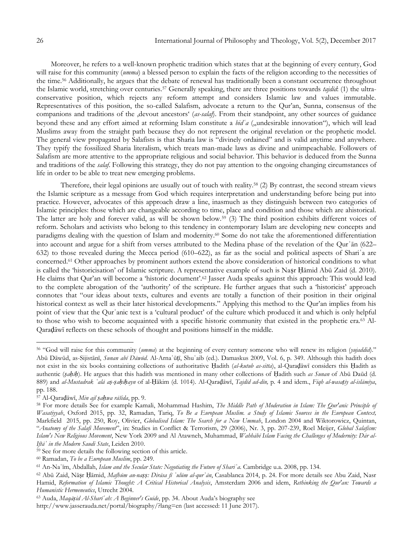Moreover, he refers to a well-known prophetic tradition which states that at the beginning of every century, God will raise for this community (*umma*) a blessed person to explain the facts of the religion according to the necessities of the time.<sup>56</sup> Additionally, he argues that the debate of renewal has traditionally been a constant occurrence throughout the Islamic world, stretching over centuries.<sup>57</sup> Generally speaking, there are three positions towards *tajdīd*: (1) the ultraconservative position, which rejects any reform attempt and considers Islamic law and values immutable. Representatives of this position, the so-called Salafism, advocate a return to the Qur"an, Sunna, consensus of the companions and traditions of the ,devout ancestors' (*as-salaf*). From their standpoint, any other sources of guidance beyond these and any effort aimed at reforming Islam constitute a *bid*<sup>*'a*</sup> ("undesirable innovation"), which will lead Muslims away from the straight path because they do not represent the original revelation or the prophetic model. The general view propagated by Salafists is that Sharia law is "divinely ordained" and is valid anytime and anywhere. They typify the fossilized Sharia literalism, which treats man-made laws as divine and unimpeachable. Followers of Salafism are more attentive to the appropriate religious and social behavior. This behavior is deduced from the Sunna and traditions of the *salaf*. Following this strategy, they do not pay attention to the ongoing changing circumstances of life in order to be able to treat new emerging problems.

Therefore, their legal opinions are usually out of touch with reality.<sup>58</sup> (2) By contrast, the second stream views the Islamic scripture as a message from God which requires interpretation and understanding before being put into practice. However, advocates of this approach draw a line, inasmuch as they distinguish between two categories of Islamic principles: those which are changeable according to time, place and condition and those which are ahistorical. The latter are holy and forever valid, as will be shown below.<sup>59</sup> (3) The third position exhibits different voices of reform. Scholars and activists who belong to this tendency in contemporary Islam are developing new concepts and paradigms dealing with the question of Islam and modernity.<sup>60</sup> Some do not take the aforementioned differentiation into account and argue for a shift from verses attributed to the Medina phase of the revelation of the Qurʾān (622– 632) to those revealed during the Mecca period (610–622), as far as the social and political aspects of Shariʿa are concerned.<sup>61</sup> Other approaches by prominent authors extend the above consideration of historical conditions to what is called the 'historicisation' of Islamic scripture. A representative example of such is Nasr Hāmid Abū Zaid (d. 2010). He claims that Qur'an will become a 'historic document'.<sup>62</sup> Jasser Auda speaks against this approach: This would lead to the complete abrogation of the "authority" of the scripture. He further argues that such a "historicist" approach connotes that "our ideas about texts, cultures and events are totally a function of their position in their original historical context as well as their later historical developments." Applying this method to the Qur'an implies from his point of view that the Qurʾanic text is a "cultural product" of the culture which produced it and which is only helpful to those who wish to become acquainted with a specific historic community that existed in the prophetic era.<sup>63</sup> Al-Qaraḍāwī reflects on these schools of thought and positions himself in the middle.

<sup>56</sup> "God will raise for this community (*umma*) at the beginning of every century someone who will renew its religion (*yujaddid*)." Abū Dāwūd, as-Sijistānī, *Sunan abī Dāwūd*. Al-Arnaʾūṭī, Shuʿaib (ed.). Damaskus 2009, Vol. 6, p. 349. Although this hadith does not exist in the six books containing collections of authoritative Ḥadith (*al-kutub as-sitta*), al-Qaraḍāwī considers this Ḥadith as authentic (*ṣaḥīḥ*). He argues that this hadith was mentioned in many other collections of Ḥadith such *as Sunan* of Abū Daūd (d. 889) and al-Mustadrak 'alā aş-şahīhayn of al-Hākim (d. 1014). Al-Qaradāwī, Tajdīd ad-dīn, p. 4 and idem., Fiqh al-wasatīy al-islāmīya, pp. 188.

<sup>57</sup> Al-Qaraḍāwī, *Min ajl ṣaḥwa rāšida*, pp. 9.

<sup>58</sup> For more details See for example Kamali, Mohammad Hashim, *The Middle Path of Moderation in Islam: The Qur'anic Principle of Wasatiyyah*, Oxford 2015, pp. 32, Ramadan, Tariq, *To Be a European Muslim. a Study of Islamic Sources in the European Context,*  Markfield 2015, pp. 250, Roy, Olivier, *Globalised Islam: The Search for a New Ummah*, London 2004 and Wiktorowicz, Quintan, "*Anatomy of the Salafi Movement*", in: Studies in Conflict & Terrorism, 29 (2006), Nr. 3, pp. 207-239, Roel Meijer, *Global Salafism: Islam's New Religious Movement*, New York 2009 and Al Atawneh, Muhammad, *Wahhābī Islam Facing the Challenges of Modernity: Dār al-Iftāʾ in the Modern Saudi State*, Leiden 2010.

<sup>59</sup> See for more details the following section of this article.

<sup>60</sup> Ramadan, *To be a European Muslim*, pp. 249.

<sup>61</sup> An-Naʿīm, Abdallah, *Islam and the Secular State: Negotiating the Future of Shariʿa*. Cambridge u.a. 2008, pp. 134.

<sup>62</sup> Abū Zaid, Nāṣr Ḥāmid, *Mafhūm an-naṣṣ: Dirāsa fī ʿulūm al-qurʾān*, Casablanca 2014, p. 24. For more details see Abu Zaid, Nasr Hamid, *Reformation of Islamic Thought: A Critical Historical Analysis*, Amsterdam 2006 and idem, *Rethinking the Qur'an: Towards a Humanistic Hermeneutics*, Utrecht 2004.

<sup>63</sup> Auda, *Maqāṣid Al-Sharīʿah: A Beginner's Guide*, pp. 34. About Auda"s biography see

http://www.jasserauda.net/portal/biography/?lang=en (last accessed: 11 June 2017).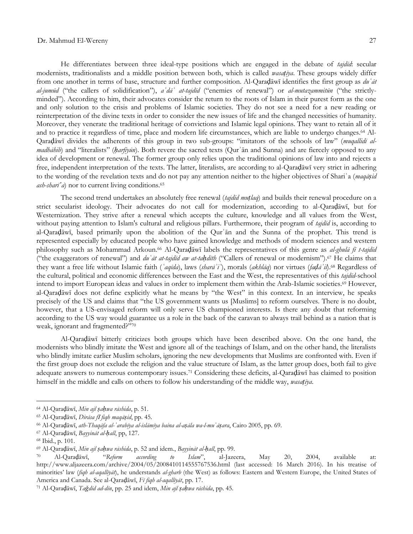He differentiates between three ideal-type positions which are engaged in the debate of *tajdīd*: secular modernists, traditionalists and a middle position between both, which is called *wasaṭīya*. These groups widely differ from one another in terms of base, structure and further composition. Al-Qaraḍāwī identifies the first group as *duʿāt al-jumūd* ("the callers of solidification"), *aʿdāʾ at-tajdīd* ("enemies of renewal") or *al-mutazammitūn* ("the strictlyminded"). According to him, their advocates consider the return to the roots of Islam in their purest form as the one and only solution to the crisis and problems of Islamic societies. They do not see a need for a new reading or reinterpretation of the divine texts in order to consider the new issues of life and the changed necessities of humanity. Moreover, they venerate the traditional heritage of convictions and Islamic legal opinions. They want to retain all of it and to practice it regardless of time, place and modern life circumstances, which are liable to undergo changes.<sup>64</sup> Al-Qaraḍāwī divides the adherents of this group in two sub-groups: "imitators of the schools of law" (*muqallidī almadhāhib*) and "literalists" (*ḥarfīyūn*). Both revere the sacred texts (Qurʾān and Sunna) and are fiercely opposed to any idea of development or renewal. The former group only relies upon the traditional opinions of law into and rejects a free, independent interpretation of the texts. The latter, literalists, are according to al-Qaraḍāwī very strict in adhering to the wording of the revelation texts and do not pay any attention neither to the higher objectives of Shariʿa (*maqāṣid ash-sharī*<sup>'</sup>*a*) nor to current living conditions.<sup>65</sup>

The second trend undertakes an absolutely free renewal (*tajdīd muṭlaq*) and builds their renewal procedure on a strict secularist ideology. Their advocates do not call for modernization, according to al-Qaraḍāwī, but for Westernization. They strive after a renewal which accepts the culture, knowledge and all values from the West, without paying attention to Islam's cultural and religious pillars. Furthermore, their program of *tajdīd* is, according to al-Qaraḍāwī, based primarily upon the abolition of the Qurʾān and the Sunna of the prophet. This trend is represented especially by educated people who have gained knowledge and methods of modern sciences and western philosophy such as Mohammad Arkoun.<sup>66</sup> Al-Qaraḍāwī labels the representatives of this genre as *al-ghulā fī t-tajdīd* ("the exaggerators of renewal") and *duʿāt at-tajdīd aw at-taḥdīth* ("Callers of renewal or modernism").<sup>67</sup> He claims that they want a free life without Islamic faith (*ʿaqīda*), laws (*sharāʾiʿ*), morals (*akhlāq*) nor virtues (*faḍāʾil*).<sup>68</sup> Regardless of the cultural, political and economic differences between the East and the West, the representatives of this *tajdīd*-school intend to import European ideas and values in order to implement them within the Arab-Islamic societies.<sup>69</sup> However, al-Qaraḍāwī does not define explicitly what he means by "the West" in this context. In an interview, he speaks precisely of the US and claims that "the US government wants us [Muslims] to reform ourselves. There is no doubt, however, that a US-envisaged reform will only serve US championed interests. Is there any doubt that reforming according to the US way would guarantee us a role in the back of the caravan to always trail behind as a nation that is weak, ignorant and fragmented?"<sup>70</sup>

Al-Qaraḍāwī bitterly criticizes both groups which have been described above. On the one hand, the modernists who blindly imitate the West and ignore all of the teachings of Islam, and on the other hand, the literalists who blindly imitate earlier Muslim scholars, ignoring the new developments that Muslims are confronted with. Even if the first group does not exclude the religion and the value structure of Islam, as the latter group does, both fail to give adequate answers to numerous contemporary issues.<sup>71</sup> Considering these deficits, al-Qaraḍāwī has claimed to position himself in the middle and calls on others to follow his understanding of the middle way, *wasaṭīya*.

<sup>64</sup> Al-Qaraḍāwī, *Min ajl ṣaḥwa rāshida*, p. 51.

<sup>65</sup> Al-Qaraḍāwī, *Dirāsa f*<sup>ī</sup> *fiqh maqāṣid*, pp. 45.

<sup>66</sup> Al-Qaraḍāwī, *ath-Thaqāfa al-ʿarabīya al-islāmīya baina al-aṣāla wa-l-muʿāṣara*, Cairo 2005, pp. 69.

<sup>67</sup> Al-Qaraḍāwī, *Bayyināt al-ḥall*, pp, 127.

<sup>68</sup> Ibid., p. 101.

<sup>69</sup> Al-Qaraḍāwī, *Min ajl ṣaḥwa rāshida*, p. 52 and idem., *Bayyināt al-ḥall*, pp. 99.

<sup>70</sup> Al-Qaraḍāwī, "*Reform according to Islam*", al-Jazeera, May 20, 2004, available at: http://www.aljazeera.com/archive/2004/05/2008410114555767536.html (last accessed: 16 March 2016). In his treatise of minorities" law (*fiqh al-aqallīyāt*), he understands *al-gharb* (the West) as follows: Eastern and Western Europe, the United States of America and Canada. See al-Qaraḍāwī, *Fī fiqh al-aqallīyāt*, pp. 17.

<sup>71</sup> Al-Qaraḍāwī, *Taǧdīd ad-dīn*, pp. 25 and idem, *Min ajl ṣaḥwa rāshida*, pp. 45.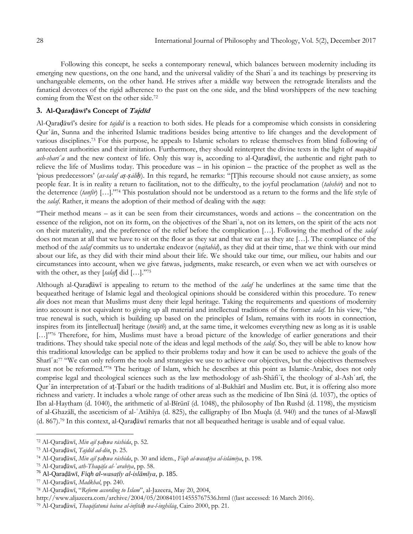Following this concept, he seeks a contemporary renewal, which balances between modernity including its emerging new questions, on the one hand, and the universal validity of the Shari<sup>s</sup> a and its teachings by preserving its unchangeable elements, on the other hand. He strives after a middle way between the retrograde literalists and the fanatical devotees of the rigid adherence to the past on the one side, and the blind worshippers of the new teaching coming from the West on the other side.<sup>72</sup>

## **3. Al-Qaraḍāwī's Concept of Tajdīd**

Al-Qaraḍāwī"s desire for *tajdīd* is a reaction to both sides. He pleads for a compromise which consists in considering Qurʾān, Sunna and the inherited Islamic traditions besides being attentive to life changes and the development of various disciplines.<sup>73</sup> For this purpose, he appeals to Islamic scholars to release themselves from blind following of antecedent authorities and their imitation. Furthermore, they should reinterpret the divine texts in the light of *maqāṣid ash-sharīʿa* and the new context of life. Only this way is, according to al-Qaraḍāwī, the authentic and right path to relieve the life of Muslims today. This procedure was – in his opinion – the practice of the prophet as well as the "pious predecessors" (*as-salaf aṣ-ṣāliḥ*). In this regard, he remarks: "[T]his recourse should not cause anxiety, as some people fear. It is in reality a return to facilitation, not to the difficulty, to the joyful proclamation (*tabshīr*) and not to the deterrence (*tanfīr*) […]."<sup>74</sup> This postulation should not be understood as a return to the forms and the life style of the *salaf*. Rather, it means the adoption of their method of dealing with the *naṣṣ*:

"Their method means – as it can be seen from their circumstances, words and actions – the concentration on the essence of the religion, not on its form, on the objectives of the Shari'a, not on its letters, on the spirit of the acts not on their materiality, and the preference of the relief before the complication […]. Following the method of the *salaf* does not mean at all that we have to sit on the floor as they sat and that we eat as they ate […]. The compliance of the method of the *salaf* commits us to undertake endeavor (*najtahid*), as they did at their time, that we think with our mind about our life, as they did with their mind about their life. We should take our time, our milieu, our habits and our circumstances into account, when we give fatwas, judgments, make research, or even when we act with ourselves or with the other, as they [*salaf*] did […]."<sup>75</sup>

Although al-Qaraḍāwī is appealing to return to the method of the *salaf* he underlines at the same time that the bequeathed heritage of Islamic legal and theological opinions should be considered within this procedure. To renew *dīn* does not mean that Muslims must deny their legal heritage. Taking the requirements and questions of modernity into account is not equivalent to giving up all material and intellectual traditions of the former *salaf*. In his view, "the true renewal is such, which is building up based on the principles of Islam, remains with its roots in connection, inspires from its [intellectual] heritage (*turāth*) and, at the same time, it welcomes everything new as long as it is usable [...]"76 Therefore, for him, Muslims must have a broad picture of the knowledge of earlier generations and their traditions. They should take special note of the ideas and legal methods of the *salaf*. So, they will be able to know how this traditional knowledge can be applied to their problems today and how it can be used to achieve the goals of the Sharīʿa:<sup>77</sup> "We can only reform the tools and strategies we use to achieve our objectives, but the objectives themselves must not be reformed."<sup>78</sup> The heritage of Islam, which he describes at this point as Islamic-Arabic, does not only comprise legal and theological sciences such as the law methodology of ash-Shāfiʿī, the theology of al-Ashʿarī, the Qurʾān interpretation of aṭ-Ṭabarī or the hadith traditions of al-Bukhārī and Muslim etc. But, it is offering also more richness and variety. It includes a whole range of other areas such as the medicine of Ibn Sīnā (d. 1037), the optics of Ibn al-Haytham (d. 1040), the arithmetic of al-Bīrūnī (d. 1048), the philosophy of Ibn Rushd (d. 1198), the mysticism of al-Ghazālī, the asceticism of al-ʿAtāhīya (d. 825), the calligraphy of Ibn Muqla (d. 940) and the tunes of al-Mawṣlī (d. 867).<sup>79</sup> In this context, al-Qaraḍāwī remarks that not all bequeathed heritage is usable and of equal value.

<sup>72</sup> Al-Qaraḍāwī, *Min ajl ṣaḥwa rāshida*, p. 52.

<sup>73</sup> Al-Qaraḍāwī, *Tajdīd ad-dīn*, p. 25.

<sup>74</sup> Al-Qaraḍāwī, *Min ajl ṣaḥwa rāshida*, p. 30 and idem., *Fiqh al-wasaṭīya al-islāmīya*, p. 198.

<sup>75</sup> Al-Qaraḍāwī, *ath-Thaqāfa al-ʿarabīya*, pp. 58.

<sup>76</sup> Al-Qaraḍāwī, *Fiqh al-wasaṭīy al-islāmīya*, p. 185.

<sup>77</sup> Al-Qaraḍāwī, *Madkhal*, pp. 240.

<sup>78</sup> Al-Qaraḍāwī, "*Reform according to Islam*", al-Jazeera, May 20, 2004,

http://www.aljazeera.com/archive/2004/05/2008410114555767536.html ((last accessed: 16 March 2016).

<sup>79</sup> Al-Qaraḍāwī, *Thaqāfatunā baina al-infitāḥ wa-l-inghilāq*, Cairo 2000, pp. 21.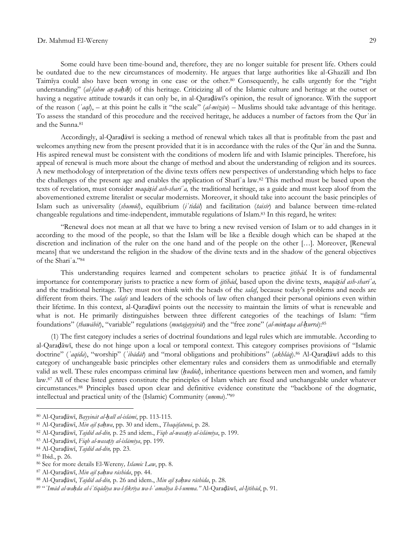Some could have been time-bound and, therefore, they are no longer suitable for present life. Others could be outdated due to the new circumstances of modernity. He argues that large authorities like al-Ghazālī and Ibn Taimīya could also have been wrong in one case or the other.<sup>80</sup> Consequently, he calls urgently for the "right understanding" (*al-fahm aṣ-ṣaḥīḥ*) of this heritage. Criticizing all of the Islamic culture and heritage at the outset or having a negative attitude towards it can only be, in al-Qaraḍāwī"s opinion, the result of ignorance. With the support of the reason (*ʿaql*), – at this point he calls it "the scale" (*al-mīzān*) – Muslims should take advantage of this heritage. To assess the standard of this procedure and the received heritage, he adduces a number of factors from the Qurʾān and the Sunna.<sup>81</sup>

Accordingly, al-Qaraḍāwī is seeking a method of renewal which takes all that is profitable from the past and welcomes anything new from the present provided that it is in accordance with the rules of the Our'an and the Sunna. His aspired renewal must be consistent with the conditions of modern life and with Islamic principles. Therefore, his appeal of renewal is much more about the change of method and about the understanding of religion and its sources. A new methodology of interpretation of the divine texts offers new perspectives of understanding which helps to face the challenges of the present age and enables the application of Sharīʿa law.<sup>82</sup> This method must be based upon the texts of revelation, must consider *maqāṣid ash-sharīʿa,* the traditional heritage, as a guide and must keep aloof from the abovementioned extreme literalist or secular modernists. Moreover, it should take into account the basic principles of Islam such as universality (*shumūl*), equilibrium (*iʿtidāl*) and facilitation (*taisīr*) and balance between time-related changeable regulations and time-independent, immutable regulations of Islam.<sup>83</sup> In this regard, he writes:

"Renewal does not mean at all that we have to bring a new revised version of Islam or to add changes in it according to the mood of the people, so that the Islam will be like a flexible dough which can be shaped at the discretion and inclination of the ruler on the one hand and of the people on the other […]. Moreover, [Renewal means] that we understand the religion in the shadow of the divine texts and in the shadow of the general objectives of the Shariʿa."<sup>84</sup>

This understanding requires learned and competent scholars to practice *ijtihād.* It is of fundamental importance for contemporary jurists to practice a new form of *ijtihād*, based upon the divine texts, *maqāṣid ash-sharīʿa,*  and the traditional heritage. They must not think with the heads of the *salaf*, because today"s problems and needs are different from theirs. The *salafs* and leaders of the schools of law often changed their personal opinions even within their lifetime. In this context, al-Qaraḍāwī points out the necessity to maintain the limits of what is renewable and what is not. He primarily distinguishes between three different categories of the teachings of Islam: "firm foundations" (*thawābit*), "variable" regulations (*mutaġayyirāt*) and the "free zone" (*al-minṭaqa al-ḥurra*):<sup>85</sup>

(1) The first category includes a series of doctrinal foundations and legal rules which are immutable. According to al-Qaraḍāwī, these do not hinge upon a local or temporal context. This category comprises provisions of "Islamic doctrine" (*ʿaqīda*), "worship" (*ʿibādāt*) and "moral obligations and prohibitions" (*akhlāq*).<sup>86</sup> Al-Qaraḍāwī adds to this category of unchangeable basic principles other elementary rules and considers them as unmodifiable and eternally valid as well. These rules encompass criminal law (*ḥudūd*), inheritance questions between men and women, and family law.<sup>87</sup> All of these listed genres constitute the principles of Islam which are fixed and unchangeable under whatever circumstances.<sup>88</sup> Principles based upon clear and definitive evidence constitute the "backbone of the dogmatic, intellectual and practical unity of the (Islamic) Community (*umma*)."<sup>89</sup>

<sup>80</sup> Al-Qaraḍāwī, *Bayyināt al-ḥall al-islāmī*, pp. 113-115.

<sup>81</sup> Al-Qaraḍāwī, *Min ajl ṣaḥwa*, pp. 30 and idem., *Thaqāfatunā*, p. 28.

<sup>82</sup> Al-Qaraḍāwī, *Tajdīd ad-dīn,* p. 25 and idem., *Fiqh al-wasaṭīy al-islāmīya*, p. 199.

<sup>83</sup> Al-Qaraḍāwī, *Fiqh al-wasaṭīy al-islāmīya*, pp. 199.

<sup>84</sup> Al-Qaraḍāwī, *Tajdīd ad-dīn,* pp. 23.

<sup>85</sup> Ibid., p. 26.

<sup>86</sup> See for more details El-Wereny*, Islamic Law*, pp. 8.

<sup>87</sup> Al-Qaraḍāwī, *Min ajl ṣaḥwa rāshida*, pp. 44.

<sup>88</sup> Al-Qaraḍāwī, *Tajdīd ad-dīn,* p. 26 and idem., *Min ajl ṣaḥwa rāshida*, p. 28.

<sup>89</sup> "*ʿImād al-waḥda al-iʿtiqādīya wa-l-fikrīya wa-l-ʿamalīya li-l-umma."* Al-Qaraḍāwī, *al-Ijtihād*, p. 91.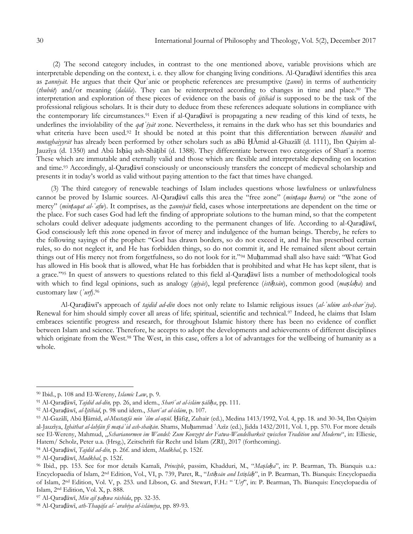(2) The second category includes, in contrast to the one mentioned above, variable provisions which are interpretable depending on the context, i. e. they allow for changing living conditions. Al-Qaraḍāwī identifies this area as *ẓannīyāt.* He argues that their Qurʾanic or prophetic references are presumptive (*ẓannī*) in terms of authenticity (*thubūt*) and/or meaning (*dalāla*). They can be reinterpreted according to changes in time and place. <sup>90</sup> The interpretation and exploration of these pieces of evidence on the basis of *ijtihād* is supposed to be the task of the professional religious scholars*.* It is their duty to deduce from these references adequate solutions in compliance with the contemporary life circumstances.<sup>91</sup> Even if al-Qarad<del>awi</del> is propagating a new reading of this kind of texts, he underlines the inviolability of the *qaṭʿīyāt* zone. Nevertheless, it remains in the dark who has set this boundaries and what criteria have been used.<sup>92</sup> It should be noted at this point that this differentiation between *thawābit* and *mutaghaiyyrāt* has already been performed by other scholars such as aBū ḤĀmid al-Ghazālī (d. 1111), Ibn Qaiyim al-Jauzīya (d. 1350) and Abū Isḥāq ash-Shāṭibī (d. 1388). They differentiate between two categories of Sharīʿa norms: These which are immutable and eternally valid and those which are flexible and interpretable depending on location and time.<sup>93</sup> Accordingly, al-Qaraḍāwī consciously or unconsciously transfers the concept of medieval scholarship and presents it in today"s world as valid without paying attention to the fact that times have changed.

(3) The third category of renewable teachings of Islam includes questions whose lawfulness or unlawfulness cannot be proved by Islamic sources. Al-Qaraḍāwī calls this area the "free zone" (*minṭaqa ḥurra*) or "the zone of mercy" (*minṭaqat al-ʿafw*). It comprises, as the *ẓannīyāt* field, cases whose interpretations are dependent on the time or the place. For such cases God had left the finding of appropriate solutions to the human mind, so that the competent scholars could deliver adequate judgments according to the permanent changes of life. According to al-Qaraḍāwī, God consciously left this zone opened in favor of mercy and indulgence of the human beings. Thereby, he refers to the following sayings of the prophet: "God has drawn borders, so do not exceed it, and He has prescribed certain rules, so do not neglect it, and He has forbidden things, so do not commit it, and He remained silent about certain things out of His mercy not from forgetfulness, so do not look for it."<sup>94</sup> Muḥammad shall also have said: "What God has allowed in His book that is allowed, what He has forbidden that is prohibited and what He has kept silent, that is a grace."<sup>95</sup> In quest of answers to questions related to this field al-Qaraḍāwī lists a number of methodological tools with which to find legal opinions, such as analogy (*qiyās*), legal preference (*istiḥsān*), common good (*maṣlaḥa*) and customary law (*ʿurf*).<sup>96</sup>

Al-Qaraḍāwī"s approach of *tajdīd ad-dīn* does not only relate to Islamic religious issues (*al-ʿulūm ash-sharʿīya*). Renewal for him should simply cover all areas of life; spiritual, scientific and technical.<sup>97</sup> Indeed, he claims that Islam embraces scientific progress and research, for throughout Islamic history there has been no evidence of conflict between Islam and science. Therefore, he accepts to adopt the developments and achievements of different disciplines which originate from the West.<sup>98</sup> The West, in this case, offers a lot of advantages for the wellbeing of humanity as a whole.

<sup>90</sup> Ibid., p. 108 and El-Wereny, *Islamic Law*, p. 9.

<sup>91</sup> Al-Qaraḍāwī, *Tajdīd ad-dīn,* pp. 26, and idem., *Sharīʿat al-islām ṣāliḥa*, pp. 111.

<sup>92</sup> Al-Qaraḍāwī, *al-Ijtihād*, p. 98 und idem., *Sharīʿat al-islām*, p. 107.

<sup>93</sup> Al-Ġazālī, Abū Ḥāmid, *al-Mustaṣfā min ʿilm al-uṣūl.* Ḥāfiẓ, Zuhair (ed.), Medina 1413/1992, Vol. 4, pp. 18. and 30-34, Ibn Qaiyim al-Jauzīya, *Ighāthat al-lahfān fī maṣāʾid ash-shaiṭān*. Shams, Muḥammad ʿAzīz (ed.), Jidda 1432/2011*,* Vol. 1, pp. 570. For more details see El-Wereny, Mahmud, "Scharianormen im Wandel: Zum Konzept der Fatwa-Wandelbarkeit zwischen Tradition und Moderne", in: Elliesie, Hatem/ Scholz, Peter u.a. (Hrsg.), Zeitschrift für Recht und Islam (ZRI), 2017 (forthcoming).

<sup>94</sup> Al-Qaraḍāwī, *Tajdīd ad-dīn,* p. 26f. and idem, *Madkhal*, p. 152f.

<sup>95</sup> Al-Qaraḍāwī, *Madkhal*, p. 152f.

<sup>96</sup> Ibid., pp. 153. See for mor details Kamali, *Principle*, passim, Khadduri, M., "*Maṣlaḥa*", in: P. Bearman, Th. Bianquis u.a.: Encyclopaedia of Islam, 2nd Edition, Vol., VI, p. 739, Paret, R., "*Istiḥsān and Istiṣlāḥ*", in P. Bearman, Th. Bianquis: Encyclopaedia of Islam, 2nd Edition, Vol. V, p. 253. und Libson, G. and Stewart, F.H.: "*ʿUrf*", in: P. Bearman, Th. Bianquis: Encyclopaedia of Islam, 2nd Edition, Vol. X, p. 888.

<sup>97</sup> Al-Qaraḍāwī, *Min ajl ṣaḥwa rāshida*, pp. 32-35.

<sup>98</sup> Al-Qaraḍāwī, *ath-Thaqāfa al-ʿarabīya al-islāmīya*, pp. 89-93.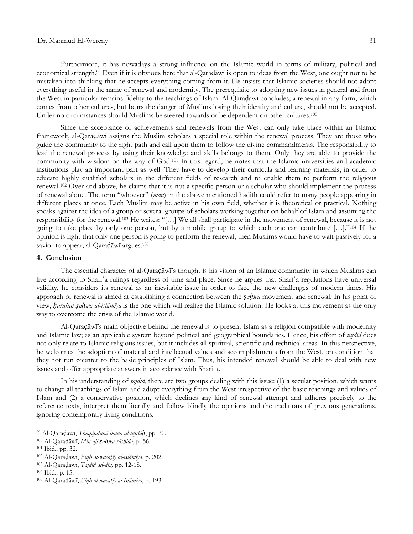Furthermore, it has nowadays a strong influence on the Islamic world in terms of military, political and economical strength.<sup>99</sup> Even if it is obvious here that al-Qaraḍāwī is open to ideas from the West, one ought not to be mistaken into thinking that he accepts everything coming from it. He insists that Islamic societies should not adopt everything useful in the name of renewal and modernity. The prerequisite to adopting new issues in general and from the West in particular remains fidelity to the teachings of Islam. Al-Qaraḍāwī concludes, a renewal in any form, which comes from other cultures, but bears the danger of Muslims losing their identity and culture, should not be accepted. Under no circumstances should Muslims be steered towards or be dependent on other cultures.<sup>100</sup>

Since the acceptance of achievements and renewals from the West can only take place within an Islamic framework, al-Qaraḍāwī assigns the Muslim scholars a special role within the renewal process. They are those who guide the community to the right path and call upon them to follow the divine commandments. The responsibility to lead the renewal process by using their knowledge and skills belongs to them. Only they are able to provide the community with wisdom on the way of God.<sup>101</sup> In this regard, he notes that the Islamic universities and academic institutions play an important part as well. They have to develop their curricula and learning materials, in order to educate highly qualified scholars in the different fields of research and to enable them to perform the religious renewal.<sup>102</sup> Over and above, he claims that it is not a specific person or a scholar who should implement the process of renewal alone. The term "whoever" (*man*) in the above mentioned hadith could refer to many people appearing in different places at once. Each Muslim may be active in his own field, whether it is theoretical or practical. Nothing speaks against the idea of a group or several groups of scholars working together on behalf of Islam and assuming the responsibility for the renewal.<sup>103</sup> He writes: "[…] We all shall participate in the movement of renewal, because it is not going to take place by only one person, but by a mobile group to which each one can contribute […]."<sup>104</sup> If the opinion is right that only one person is going to perform the renewal, then Muslims would have to wait passively for a savior to appear, al-Qaraḍāwī argues.<sup>105</sup>

### **4. Conclusion**

The essential character of al-Qaraḍāwī"s thought is his vision of an Islamic community in which Muslims can live according to Shariʿa rulings regardless of time and place. Since he argues that Shariʿa regulations have universal validity, he considers its renewal as an inevitable issue in order to face the new challenges of modern times. His approach of renewal is aimed at establishing a connection between the *ṣaḥwa* movement and renewal. In his point of view, *ḥarakat ṣaḥwa al-islāmīya* is the one which will realize the Islamic solution. He looks at this movement as the only way to overcome the crisis of the Islamic world.

Al-Qaraḍāwī"s main objective behind the renewal is to present Islam as a religion compatible with modernity and Islamic law; as an applicable system beyond political and geographical boundaries. Hence, his effort of *tajdīd* does not only relate to Islamic religious issues, but it includes all spiritual, scientific and technical areas. In this perspective, he welcomes the adoption of material and intellectual values and accomplishments from the West, on condition that they not run counter to the basic principles of Islam. Thus, his intended renewal should be able to deal with new issues and offer appropriate answers in accordance with Shariʿa.

In his understanding of *tajdīd*, there are two groups dealing with this issue: (1) a secular position, which wants to change all teachings of Islam and adopt everything from the West irrespective of the basic teachings and values of Islam and (2) a conservative position, which declines any kind of renewal attempt and adheres precisely to the reference texts, interpret them literally and follow blindly the opinions and the traditions of previous generations, ignoring contemporary living conditions.

<sup>99</sup> Al-Qaraḍāwī, *Thaqāfatunā baina al-infitāḥ*, pp. 30.

<sup>100</sup> Al-Qaraḍāwī, *Min ajl ṣaḥwa rāshida*, p. 56.

<sup>101</sup> Ibid., pp. 32.

<sup>102</sup> Al-Qaraḍāwī, *Fiqh al-wasaṭīy al-islāmīya*, p. 202.

<sup>103</sup> Al-Qaraḍāwī, *Tajdīd ad-dīn,* pp. 12-18.

<sup>104</sup> Ibid., p. 15.

<sup>105</sup> Al-Qaraḍāwī, *Fiqh al-wasaṭīy al-islāmīya*, p. 193.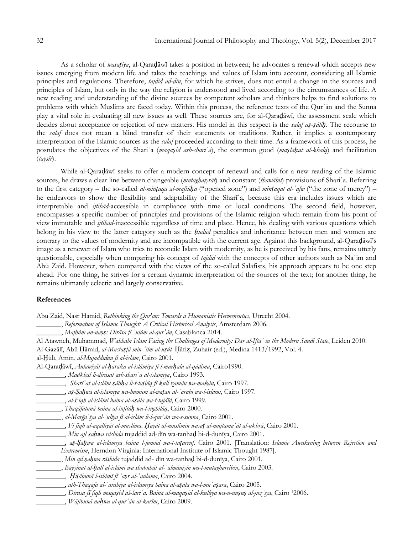As a scholar of *wasaṭīya*, al-Qaraḍāwī takes a position in between; he advocates a renewal which accepts new issues emerging from modern life and takes the teachings and values of Islam into account, considering all Islamic principles and regulations. Therefore, *tajdīd ad-dīn*, for which he strives, does not entail a change in the sources and principles of Islam, but only in the way the religion is understood and lived according to the circumstances of life. A new reading and understanding of the divine sources by competent scholars and thinkers helps to find solutions to problems with which Muslims are faced today. Within this process, the reference texts of the Qurʾān and the Sunna play a vital role in evaluating all new issues as well. These sources are, for al-Qaraḍāwī, the assessment scale which decides about acceptance or rejection of new matters. His model in this respect is the *salaf aṣ-ṣāliḥ*. The recourse to the *salaf* does not mean a blind transfer of their statements or traditions. Rather, it implies a contemporary interpretation of the Islamic sources as the *salaf* proceeded according to their time. As a framework of this process, he postulates the objectives of the Shariʿa (*maqāṣid ash-sharīʿa*), the common good (*maṣlaḥat al-khalq*) and facilitation (*taysīr*).

While al-Qaraḍāwī seeks to offer a modern concept of renewal and calls for a new reading of the Islamic sources, he draws a clear line between changeable (*mutaghaiyrāt*) and constant (*thawābit*) provisions of Shariʿa. Referring to the first category – the so-called *al-minṭaqa al-maftūḥa* ("opened zone") and *minṭaqat al-ʿafw* ("the zone of mercy") – he endeavors to show the flexibility and adaptability of the Sharīʿa, because this era includes issues which are interpretable and *ijtihād*-accessible in compliance with time or local conditions. The second field, however, encompasses a specific number of principles and provisions of the Islamic religion which remain from his point of view immutable and *ijtihād*-inaccessible regardless of time and place. Hence, his dealing with various questions which belong in his view to the latter category such as the *ḥudūd* penalties and inheritance between men and women are contrary to the values of modernity and are incompatible with the current age. Against this background, al-Qaraḍāwī"s image as a renewer of Islam who tries to reconcile Islam with modernity, as he is perceived by his fans, remains utterly questionable, especially when comparing his concept of *tajdīd* with the concepts of other authors such as Naʿim and Abū Zaid. However, when compared with the views of the so-called Salafists, his approach appears to be one step ahead. For one thing, he strives for a certain dynamic interpretation of the sources of the text; for another thing, he remains ultimately eclectic and largely conservative.

## **References**

Abu Zaid, Nasr Hamid, *Rethinking the Qur'an: Towards a Humanistic Hermeneutics*, Utrecht 2004.

\_\_\_\_\_\_\_, *Reformation of Islamic Thought: A Critical Historical Analysis*, Amsterdam 2006.

\_\_\_\_\_\_\_, *Mafhūm an-naṣṣ: Dirāsa fī ʿulūm al-qurʾān*, Casablanca 2014.

Al Atawneh, Muhammad, *Wahhābī Islam Facing the Challenges of Modernity: Dār al-Iftāʾ in the Modern Saudi State*, Leiden 2010.

Al-Ġazālī, Abū Ḥāmid, *al-Mustaṣfā min ʿilm al-uṣūl.* Ḥāfiẓ, Zuhair (ed.), Medina 1413/1992, Vol. 4.

al-Ḫūlī, Amīn, *al-Mujaddidūn fī al-islām*, Cairo 2001.

Al-Qaraḍāwī, *Aulawīyāt al-ḥaraka al-islāmīya fī l-marḥala al-qādima*, Cairo1990.

\_\_\_\_\_\_\_\_, *Madkhal li-dirāsat ash-sharīʿa al-islāmīya*, Cairo 1993.

\_\_\_\_\_\_\_\_, *aṣ-Ṣaḥwa al-islāmīya wa-humūm al-waṭan al-ʿarabī wa-l-islāmī*, Cairo 1997.

\_\_\_\_\_\_\_\_, *al-Fiqh al-islāmī baina al-aṣāla wa-t-tajdīd*, Cairo 1999.

- \_\_\_\_\_\_\_, *Thaqāfatunā baina al-infitāḥ wa-l-inghilāq*, Cairo 2000.
- \_\_\_\_\_\_\_, *al-Marğaʿīya al-ʿulīya fī al-islām li-l-qurʾān wa-s-sunna*, Cairo 2001.

\_\_\_\_\_\_\_\_, *Fī fiqh al-aqallīyāt al-muslima. Ḥayāt al-muslimīn wasaṭ al-mujtamaʿāt al-ukhrā*, Cairo 2001.

- \_\_\_\_\_\_\_\_, *Min ajl ṣaḥwa rāshida* tujaddid ad-dīn wa-tanhaḍ bi-d-dunīya, Cairo 2001.
- \_\_\_\_\_\_\_\_, *aṣ-Ṣaḥwa al-islāmīya baina l-jumūd wa-t-taṭarruf*. Cairo 2001. [Translation: *Islamic Awakening between Rejection and Extremism*, Herndon Virginia: International Institute of Islamic Thought 1987].

\_\_\_\_\_\_\_, *Min ajl ṣaḥwa rāshida* tujaddid ad- dīn wa-tanhaḍ bi-d-dunīya, Cairo 2001.

\_\_\_\_\_\_\_, *Bayyināt al-ḥall al-islāmī wa shubuhāt al-ʿalmānīyīn wa-l-mutagharribīn*, Cairo 2003.

\_\_\_\_\_\_\_\_, *Ḫiṭābunā l-islāmī fī ʿaṣr al-ʿaulama*, Cairo 2004.

\_\_\_\_\_\_\_\_, *ath-Thaqāfa al-ʿarabīya al-islāmīya baina al-aṣāla wa-l-muʿāṣara*, Cairo 2005.

, Dirāsa fī fiqh maqāşid aš-šarī'a. Baina al-maqāşid al-kullīya wa-n-nuşūş al-juz'īya, Cairo <sup>1</sup>2006.

\_\_\_\_\_\_\_\_, *Wājibunā naḥwa al-qurʾān al-karīm*, Cairo 2009.

\_\_\_\_\_\_\_\_, *Sharīʿat al-islām ṣāliḥa li-t-taṭbīq fī kull zamān wa-makān,* Cairo 1997.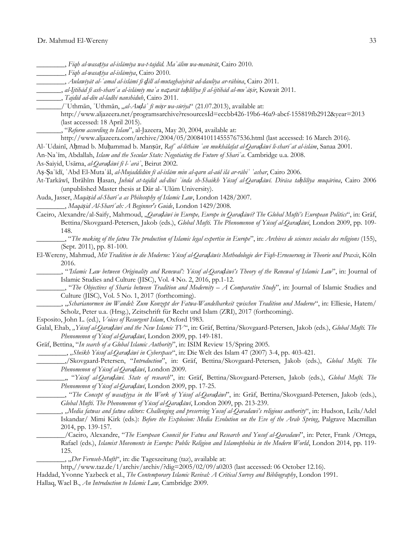\_\_\_\_\_\_\_\_, *Fiqh al-wasaṭīya al-islāmīya wa-t-tajdīd. Maʿālim wa-manārāt*, Cairo 2010.

\_\_\_\_\_\_\_\_, *Fiqh al-wasaṭīya al-islāmīya*, Cairo 2010.

\_\_\_\_\_\_\_\_, *Aulawīyāt al-ʿamal al-islāmī fī ḏill al-mutaghaiyirāt ad-daulīya ar-rāhina*, Cairo 2011.

, al-Ijtihād fī ash-sharī 'a al-islāmīy ma 'a nazarāt tahlīlīya fī al-ijtihād al-mu 'āsir, Kuwait 2011.

\_\_\_\_\_\_\_, *Tajdīd ad-dīn al-ladhī nanshiduh*, Cairo 2011.

\_\_\_\_\_\_\_/ʿUthmān, ʿUthmān, "*al-Auḍāʿ fī miṣr wa-sūriyā*" (21.07.2013), available at:

http://www.aljazeera.net/programsarchive?resourcesId=eccbb426-19b6-46a9-abcf-155819fb2912&year=2013 (last accessed: 18 April 2015).

\_\_\_\_\_\_\_, "*Reform according to Islam*", al-Jazeera, May 20, 2004, available at:

http://www.aljazeera.com/archive/2004/05/2008410114555767536.html (last accessed: 16 March 2016).

Al-ʿUdainī, Aḥmad b. Muḥammad b. Manṣūr, *Rafʿ al-lithām ʿan mukhālafat al-Qaraḍāwī li-sharīʿat al-islām*, Sanaa 2001.

An-Naʿīm, Abdallah, *Islam and the Secular State: Negotiating the Future of Shariʿa*. Cambridge u.a. 2008.

As-Saiyid, Usāma, *al-Qaraḍāwī fī l-ʿarāʾ*, Beirut 2002.

Aṣ-Ṣaʿīdī, ʿAbd El-Mutaʿāl, *al-Mujaddidūn fī al-islām min al-qarn al-aūl ilā ar-rābiʿ ʿashar*, Cairo 2006.

At-Tarkāwī, Ibrāhīm Ḥasan, *Juhūd at-tajdīd ad-dīnī ʿinda sh-Shaikh Yūsuf al-Qaraḍāwī. Dirāsa taḥlīlīya muqārina*, Cairo 2006 (unpublished Master thesis at Dār al-ʿUlūm University).

Auda, Jasser, *Maqāṣid al-Sharīʿa as Philosophy of Islamic Law*, London 1428/2007. \_\_\_\_\_\_\_\_, *Maqāṣid Al-Sharīʿah: A Beginner's Guide*, London 1429/2008.

- Caeiro, Alexandre/al-Saify, Mahmoud, "*Qaraḍāwī in Europe, Europe in Qaraḍāwī? The Global Mufti"s European Politics*", in: Gräf, Bettina/Skovgaard-Petersen, Jakob (eds.), *Global Mufti. The Phenomenon of Yūsuf al-Qaraḍāwī*, London 2009, pp. 109- 148.
	- \_\_\_\_\_\_\_\_, "*The making of the fatwa The production of Islamic legal expertise in Europe*", in: *Archives de sciences sociales des religions* (155), (Sept. 2011), pp. 81-100.
- El-Wereny, Mahmud, *Mit Tradition in die Moderne: Yūsuf al-Qaraḍāwīs Methodologie der Fiqh-Erneuerung in Theorie und Praxis*, Köln 2016.

\_\_\_\_\_\_\_, "*"Islamic Law between Originality and Renewal": Yūsuf al-Qaraḍāwī"s Theory of the Renewal of Islamic Law*", in: Journal of Islamic Studies and Culture (JISC), Vol. 4 No. 2, 2016, pp.1-12.

\_\_\_\_\_\_\_\_, "*The Objectives of Sharia between Tradition and Modernity – A Comparative Study*", in: Journal of Islamic Studies and Culture (JISC), Vol. 5 No. 1, 2017 (forthcoming).

\_\_\_\_\_\_\_, "*Scharianormen im Wandel: Zum Konzept der Fatwa-Wandelbarkeit zwischen Tradition und Moderne*", in: Elliesie, Hatem/ Scholz, Peter u.a. (Hrsg.), Zeitschrift für Recht und Islam (ZRI), 2017 (forthcoming).

Esposito, John L. (ed.), *Voices of Resurgent Islam*, Oxford 1983.

Galal, Ehab, "Yūsuf al-Qaradāwī and the New Islamic TV", in: Gräf, Bettina/Skovgaard-Petersen, Jakob (eds.), Global Mufti. The *Phenomenon of Yūsuf al-Qaraḍāwī*, London 2009, pp. 149-181.

Gräf, Bettina, "*In search of a Global Islamic Authority*", in: ISIM Review 15/Spring 2005.

\_\_\_\_\_\_\_\_, *"Sheikh Yūsuf al-Qaraḍāwī in Cyberspace*", in: Die Welt des Islam 47 (2007) 3-4, pp. 403-421.

\_\_\_\_\_\_\_\_,/Skovgaard-Petersen, "*Introduction*", in: Gräf, Bettina/Skovgaard-Petersen, Jakob (eds.), *Global Mufti. The Phenomenon of Yūsuf al-Qaraḍāwī*, London 2009.

\_\_\_\_\_\_\_\_,, "*Yūsuf al-Qaraḍāwī. State of research*", in: Gräf, Bettina/Skovgaard-Petersen, Jakob (eds.), *Global Mufti. The Phenomenon of Yūsuf al-Qaraḍāwī*, London 2009, pp. 17-25.

- \_\_\_\_\_\_\_\_, "*The Concept of wasaṭiyya in the Work of Yūsuf al-Qaraḍāwī*", in: Gräf, Bettina/Skovgaard-Petersen, Jakob (eds.), *Global Mufti. The Phenomenon of Yūsuf al-Qaraḍāwī*, London 2009, pp. 213-239.
- \_\_\_\_\_\_\_, *"Media fatwas and fatwa editors: Challenging and preserving Yusuf al-Qaradawi"s religious authority*", in: Hudson, Leila/Adel Iskandar/ Mimi Kirk (eds.): *Before the Explosion: Media Evolution on the Eve of the Arab Spring*, Palgrave Macmillan 2014, pp. 139-157.

\_\_\_\_\_\_\_\_/Caeiro, Alexandre, "*The European Council for Fatwa and Research and Yusuf al-Qaradawi*", in: Peter, Frank /Ortega, Rafael (eds.), *Islamist Movements in Europe: Public Religion and Islamophobia in the Modern World*, London 2014, pp. 119- 125.

\_\_\_\_\_\_\_\_, "*Der Fernseh-Mufti*", in: die Tageszeitung (taz), available at:

http,//www.taz.de/1/archiv/archiv/?dig=2005/02/09/a0203 (last accessed: 06 October 12.16).

Haddad, Yvonne Yazbeck et al., *The Contemporary Islamic Revival: A Critical Survey and Bibliography*, London 1991.

Hallaq, Wael B., *An Introduction to Islamic Law,* Cambridge 2009.